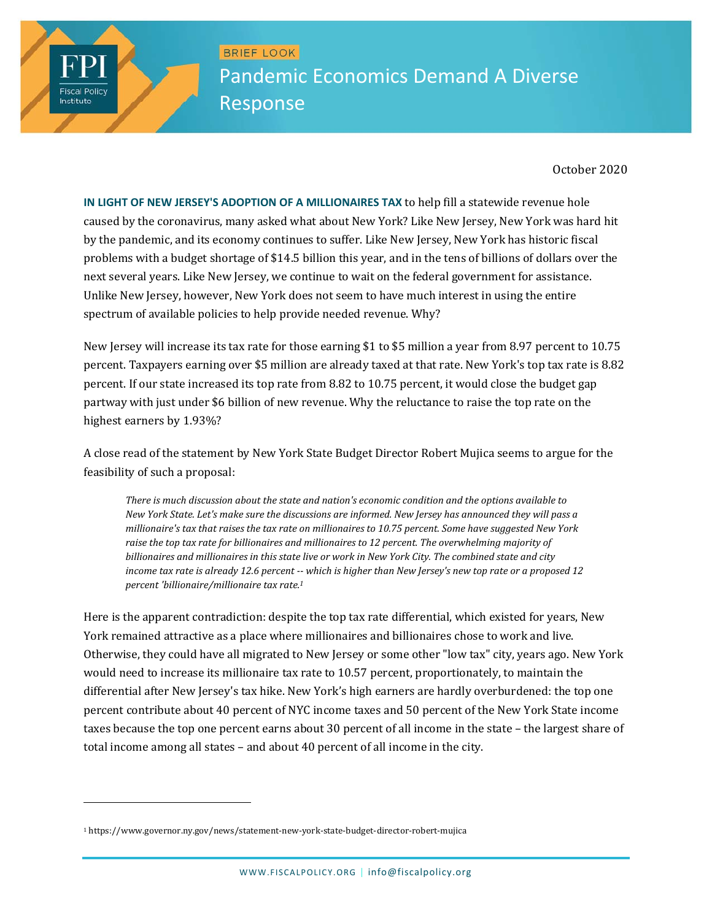BRIEF LOOK Pandemic Economics Demand A Diverse Response

October 2020

**IN LIGHT OF NEW JERSEY'S ADOPTION OF A MILLIONAIRES TAX** to help fill a statewide revenue hole caused by the coronavirus, many asked what about New York? Like New Jersey, New York was hard hit by the pandemic, and its economy continues to suffer. Like New Jersey, New York has historic fiscal problems with a budget shortage of \$14.5 billion this year, and in the tens of billions of dollars over the next several years. Like New Jersey, we continue to wait on the federal government for assistance. Unlike New Jersey, however, New York does not seem to have much interest in using the entire spectrum of available policies to help provide needed revenue. Why?

New Jersey will increase its tax rate for those earning \$1 to \$5 million a year from 8.97 percent to 10.75 percent. Taxpayers earning over \$5 million are already taxed at that rate. New York's top tax rate is 8.82 percent. If our state increased its top rate from 8.82 to 10.75 percent, it would close the budget gap partway with just under \$6 billion of new revenue. Why the reluctance to raise the top rate on the highest earners by 1.93%?

A close read of the statement by New York State Budget Director Robert Mujica seems to argue for the feasibility of such a proposal:

*There is much discussion about the state and nation's economic condition and the options available to* New York State. Let's make sure the discussions are informed. New Jersey has announced they will pass a *millionaire's tax that raises the tax rate on millionaires to 10.75 percent. Some have suggested New York raise the top tax rate for billionaires and millionaires to 12 percent. The overwhelming majority of* billionaires and millionaires in this state live or work in New York City. The combined state and city income tax rate is already 12.6 percent -- which is higher than New Jersey's new top rate or a proposed 12 *percent 'billionaire/millionaire tax rate.1*

Here is the apparent contradiction: despite the top tax rate differential, which existed for years, New York remained attractive as a place where millionaires and billionaires chose to work and live. Otherwise, they could have all migrated to New Jersey or some other "low tax" city, years ago. New York would need to increase its millionaire tax rate to 10.57 percent, proportionately, to maintain the differential after New Jersey's tax hike. New York's high earners are hardly overburdened: the top one percent contribute about 40 percent of NYC income taxes and 50 percent of the New York State income taxes because the top one percent earns about 30 percent of all income in the state - the largest share of total income among all states - and about 40 percent of all income in the city.

 

**Fiscal Policy** Institute

<sup>1</sup> https://www.governor.ny.gov/news/statement-new-york-state-budget-director-robert-mujica